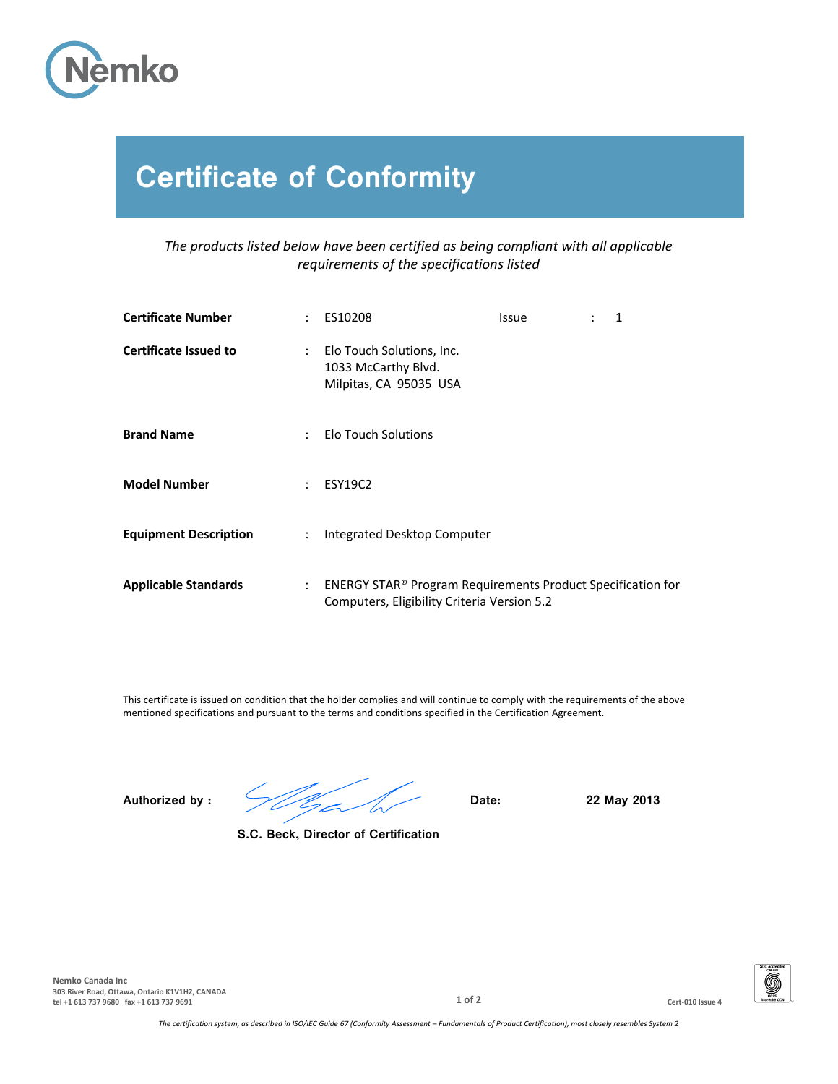

## **Certificate of Conformity**

*The products listed below have been certified as being compliant with all applicable requirements of the specifications listed*

| <b>Certificate Number</b>    |                           | $:$ ES10208                                                                                                | <b>Issue</b> | $\therefore$ 1 |  |
|------------------------------|---------------------------|------------------------------------------------------------------------------------------------------------|--------------|----------------|--|
| <b>Certificate Issued to</b> |                           | : Elo Touch Solutions, Inc.<br>1033 McCarthy Blvd.<br>Milpitas, CA 95035 USA                               |              |                |  |
| <b>Brand Name</b>            | $\mathcal{L}$             | <b>Elo Touch Solutions</b>                                                                                 |              |                |  |
| <b>Model Number</b>          | $\mathbb{Z}^{\mathbb{Z}}$ | <b>ESY19C2</b>                                                                                             |              |                |  |
| <b>Equipment Description</b> | $\mathbb{Z}^{\mathbb{Z}}$ | Integrated Desktop Computer                                                                                |              |                |  |
| <b>Applicable Standards</b>  | $\mathcal{L}$             | ENERGY STAR® Program Requirements Product Specification for<br>Computers, Eligibility Criteria Version 5.2 |              |                |  |

This certificate is issued on condition that the holder complies and will continue to comply with the requirements of the above mentioned specifications and pursuant to the terms and conditions specified in the Certification Agreement.

**Authorized by : Date: 22 May 2013**

**S.C. Beck, Director of Certification**